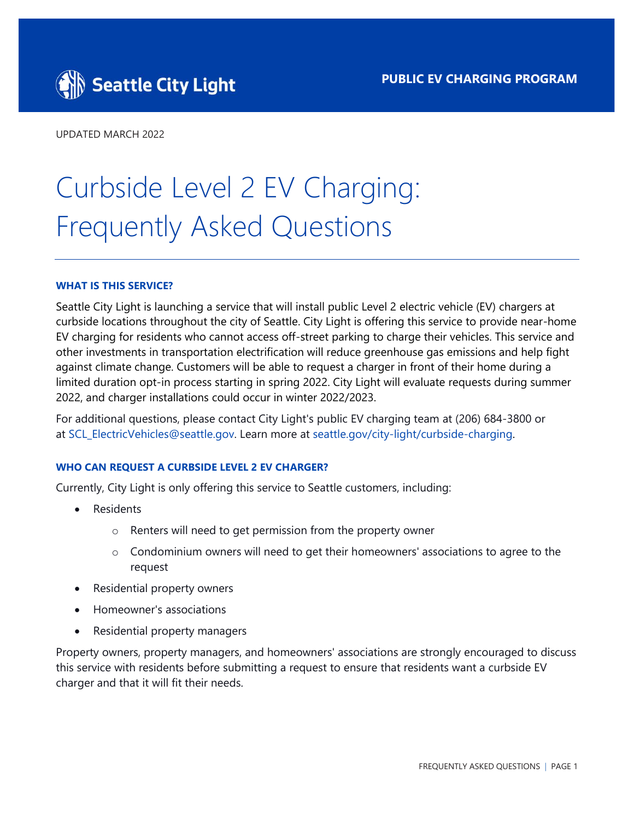

UPDATED MARCH 2022

# Curbside Level 2 EV Charging: Frequently Asked Questions

#### **WHAT IS THIS SERVICE?**

Seattle City Light is launching a service that will install public Level 2 electric vehicle (EV) chargers at curbside locations throughout the city of Seattle. City Light is offering this service to provide near-home EV charging for residents who cannot access off-street parking to charge their vehicles. This service and other investments in transportation electrification will reduce greenhouse gas emissions and help fight against climate change. Customers will be able to request a charger in front of their home during a limited duration opt-in process starting in spring 2022. City Light will evaluate requests during summer 2022, and charger installations could occur in winter 2022/2023.

For additional questions, please contact City Light's public EV charging team at (206) 684-3800 or at [SCL\\_ElectricVehicles@seattle.gov.](mailto:scl_electricvehicles@seattle.gov) Learn more a[t seattle.gov/city-light/curbside-charging.](http://www.seattle.gov/city-light/curbside-charging) 

#### **WHO CAN REQUEST A CURBSIDE LEVEL 2 EV CHARGER?**

Currently, City Light is only offering this service to Seattle customers, including:

- **Residents** 
	- o Renters will need to get permission from the property owner
	- o Condominium owners will need to get their homeowners' associations to agree to the request
- Residential property owners
- Homeowner's associations
- Residential property managers

Property owners, property managers, and homeowners' associations are strongly encouraged to discuss this service with residents before submitting a request to ensure that residents want a curbside EV charger and that it will fit their needs.